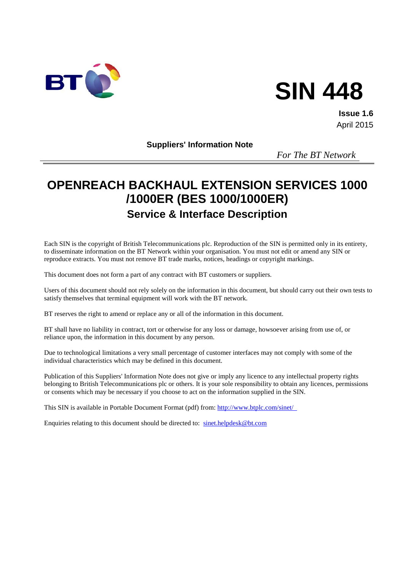

# **SIN 448**

**Issue 1.6** April 2015

**Suppliers' Information Note**

*For The BT Network*

# **OPENREACH BACKHAUL EXTENSION SERVICES 1000 /1000ER (BES 1000/1000ER) Service & Interface Description**

Each SIN is the copyright of British Telecommunications plc. Reproduction of the SIN is permitted only in its entirety, to disseminate information on the BT Network within your organisation. You must not edit or amend any SIN or reproduce extracts. You must not remove BT trade marks, notices, headings or copyright markings.

This document does not form a part of any contract with BT customers or suppliers.

Users of this document should not rely solely on the information in this document, but should carry out their own tests to satisfy themselves that terminal equipment will work with the BT network.

BT reserves the right to amend or replace any or all of the information in this document.

BT shall have no liability in contract, tort or otherwise for any loss or damage, howsoever arising from use of, or reliance upon, the information in this document by any person.

Due to technological limitations a very small percentage of customer interfaces may not comply with some of the individual characteristics which may be defined in this document.

Publication of this Suppliers' Information Note does not give or imply any licence to any intellectual property rights belonging to British Telecommunications plc or others. It is your sole responsibility to obtain any licences, permissions or consents which may be necessary if you choose to act on the information supplied in the SIN.

This SIN is available in Portable Document Format (pdf) from:<http://www.btplc.com/sinet/>

Enquiries relating to this document should be directed to: [sinet.helpdesk@bt.com](mailto:sinet.helpdesk@bt.com)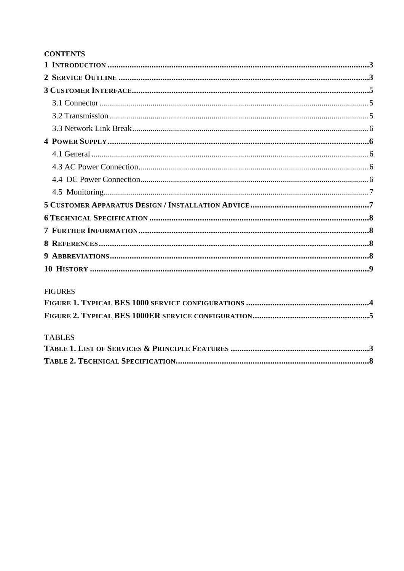#### **CONTENTS**

#### **FIGURES**

## **TABLES**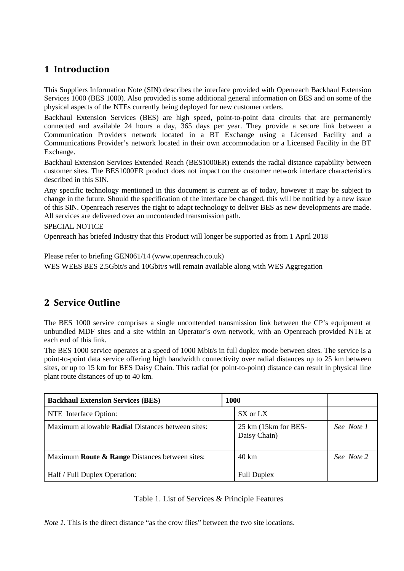## <span id="page-2-0"></span>**1 Introduction**

This Suppliers Information Note (SIN) describes the interface provided with Openreach Backhaul Extension Services 1000 (BES 1000). Also provided is some additional general information on BES and on some of the physical aspects of the NTEs currently being deployed for new customer orders.

Backhaul Extension Services (BES) are high speed, point-to-point data circuits that are permanently connected and available 24 hours a day, 365 days per year. They provide a secure link between a Communication Providers network located in a BT Exchange using a Licensed Facility and a Communications Provider's network located in their own accommodation or a Licensed Facility in the BT Exchange.

Backhaul Extension Services Extended Reach (BES1000ER) extends the radial distance capability between customer sites. The BES1000ER product does not impact on the customer network interface characteristics described in this SIN.

Any specific technology mentioned in this document is current as of today, however it may be subject to change in the future. Should the specification of the interface be changed, this will be notified by a new issue of this SIN. Openreach reserves the right to adapt technology to deliver BES as new developments are made. All services are delivered over an uncontended transmission path.

SPECIAL NOTICE

Openreach has briefed Industry that this Product will longer be supported as from 1 April 2018

Please refer to briefing GEN061/14 (www.openreach.co.uk) WES WEES BES 2.5Gbit/s and 10Gbit/s will remain available along with WES Aggregation

## <span id="page-2-1"></span>**2 Service Outline**

The BES 1000 service comprises a single uncontended transmission link between the CP's equipment at unbundled MDF sites and a site within an Operator's own network, with an Openreach provided NTE at each end of this link.

The BES 1000 service operates at a speed of 1000 Mbit/s in full duplex mode between sites. The service is a point-to-point data service offering high bandwidth connectivity over radial distances up to 25 km between sites, or up to 15 km for BES Daisy Chain. This radial (or point-to-point) distance can result in physical line plant route distances of up to 40 km.

| <b>Backhaul Extension Services (BES)</b>                 | <b>1000</b> |                                                 |            |
|----------------------------------------------------------|-------------|-------------------------------------------------|------------|
| NTE Interface Option:                                    |             | SX or LX                                        |            |
| Maximum allowable <b>Radial</b> Distances between sites: |             | $25 \text{ km}$ (15 km for BES-<br>Daisy Chain) | See Note 1 |
| Maximum Route & Range Distances between sites:           |             | 40 km                                           | See Note 2 |
| Half / Full Duplex Operation:                            |             | <b>Full Duplex</b>                              |            |

#### Table 1. List of Services & Principle Features

<span id="page-2-2"></span>*Note 1*. This is the direct distance "as the crow flies" between the two site locations.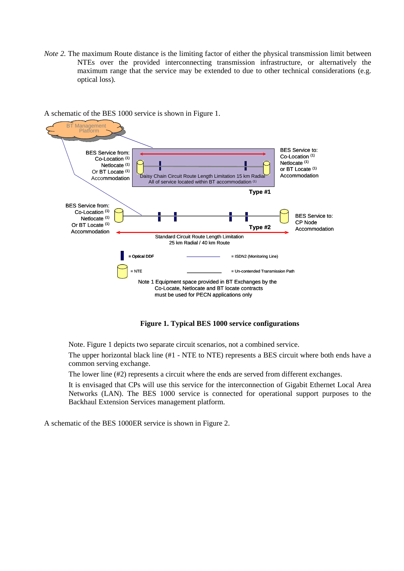*Note 2.* The maximum Route distance is the limiting factor of either the physical transmission limit between NTEs over the provided interconnecting transmission infrastructure, or alternatively the maximum range that the service may be extended to due to other technical considerations (e.g. optical loss).



#### A schematic of the BES 1000 service is shown in Figure 1.

**Figure 1. Typical BES 1000 service configurations** 

<span id="page-3-0"></span>Note. Figure 1 depicts two separate circuit scenarios, not a combined service.

The upper horizontal black line (#1 - NTE to NTE) represents a BES circuit where both ends have a common serving exchange.

The lower line (#2) represents a circuit where the ends are served from different exchanges.

It is envisaged that CPs will use this service for the interconnection of Gigabit Ethernet Local Area Networks (LAN). The BES 1000 service is connected for operational support purposes to the Backhaul Extension Services management platform.

A schematic of the BES 1000ER service is shown in Figure 2.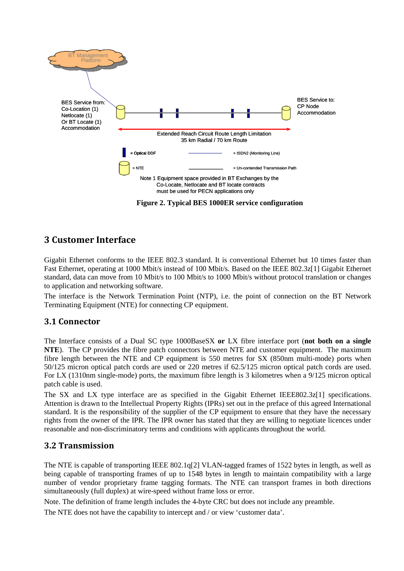

#### **Figure 2. Typical BES 1000ER service configuration**

## <span id="page-4-3"></span><span id="page-4-0"></span>**3 Customer Interface**

Gigabit Ethernet conforms to the IEEE 802.3 standard. It is conventional Ethernet but 10 times faster than Fast Ethernet, operating at 1000 Mbit/s instead of 100 Mbit/s. Based on the IEEE 802.3z[1] Gigabit Ethernet standard, data can move from 10 Mbit/s to 100 Mbit/s to 1000 Mbit/s without protocol translation or changes to application and networking software.

The interface is the Network Termination Point (NTP), i.e. the point of connection on the BT Network Terminating Equipment (NTE) for connecting CP equipment.

#### <span id="page-4-1"></span>**3.1 Connector**

The Interface consists of a Dual SC type 1000BaseSX **or** LX fibre interface port (**not both on a single NTE**). The CP provides the fibre patch connectors between NTE and customer equipment. The maximum fibre length between the NTE and CP equipment is 550 metres for SX (850nm multi-mode) ports when 50/125 micron optical patch cords are used or 220 metres if 62.5/125 micron optical patch cords are used. For LX (1310nm single-mode) ports, the maximum fibre length is 3 kilometres when a 9/125 micron optical patch cable is used.

The SX and LX type interface are as specified in the Gigabit Ethernet IEEE802.3z[1] specifications. Attention is drawn to the Intellectual Property Rights (IPRs) set out in the preface of this agreed International standard. It is the responsibility of the supplier of the CP equipment to ensure that they have the necessary rights from the owner of the IPR. The IPR owner has stated that they are willing to negotiate licences under reasonable and non-discriminatory terms and conditions with applicants throughout the world.

#### <span id="page-4-2"></span>**3.2 Transmission**

The NTE is capable of transporting IEEE 802.1q[2] VLAN-tagged frames of 1522 bytes in length, as well as being capable of transporting frames of up to 1548 bytes in length to maintain compatibility with a large number of vendor proprietary frame tagging formats. The NTE can transport frames in both directions simultaneously (full duplex) at wire-speed without frame loss or error.

Note. The definition of frame length includes the 4-byte CRC but does not include any preamble.

The NTE does not have the capability to intercept and / or view 'customer data'.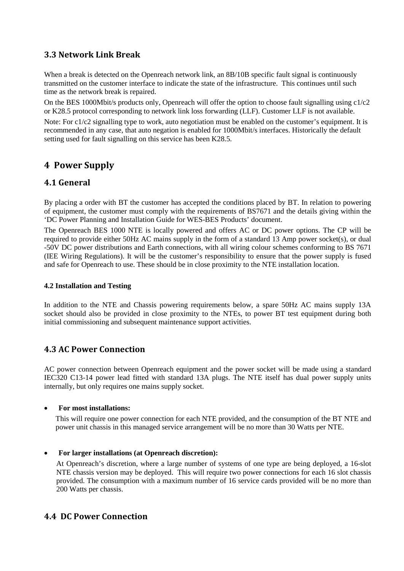#### <span id="page-5-0"></span>**3.3 Network Link Break**

When a break is detected on the Openreach network link, an 8B/10B specific fault signal is continuously transmitted on the customer interface to indicate the state of the infrastructure. This continues until such time as the network break is repaired.

On the BES 1000Mbit/s products only, Openreach will offer the option to choose fault signalling using  $c1/c2$ or K28.5 protocol corresponding to network link loss forwarding (LLF). Customer LLF is not available.

Note: For c1/c2 signalling type to work, auto negotiation must be enabled on the customer's equipment. It is recommended in any case, that auto negation is enabled for 1000Mbit/s interfaces. Historically the default setting used for fault signalling on this service has been K28.5.

## <span id="page-5-1"></span>**4 Power Supply**

## <span id="page-5-2"></span>**4.1 General**

By placing a order with BT the customer has accepted the conditions placed by BT. In relation to powering of equipment, the customer must comply with the requirements of BS7671 and the details giving within the 'DC Power Planning and Installation Guide for WES-BES Products' document.

The Openreach BES 1000 NTE is locally powered and offers AC or DC power options. The CP will be required to provide either 50Hz AC mains supply in the form of a standard 13 Amp power socket(s), or dual -50V DC power distributions and Earth connections, with all wiring colour schemes conforming to BS 7671 (IEE Wiring Regulations). It will be the customer's responsibility to ensure that the power supply is fused and safe for Openreach to use. These should be in close proximity to the NTE installation location.

#### **4.2 Installation and Testing**

In addition to the NTE and Chassis powering requirements below, a spare 50Hz AC mains supply 13A socket should also be provided in close proximity to the NTEs, to power BT test equipment during both initial commissioning and subsequent maintenance support activities.

## <span id="page-5-3"></span>**4.3 AC Power Connection**

AC power connection between Openreach equipment and the power socket will be made using a standard IEC320 C13-14 power lead fitted with standard 13A plugs. The NTE itself has dual power supply units internally, but only requires one mains supply socket.

#### • **For most installations:**

This will require one power connection for each NTE provided, and the consumption of the BT NTE and power unit chassis in this managed service arrangement will be no more than 30 Watts per NTE.

#### • **For larger installations (at Openreach discretion):**

At Openreach's discretion, where a large number of systems of one type are being deployed, a 16-slot NTE chassis version may be deployed. This will require two power connections for each 16 slot chassis provided. The consumption with a maximum number of 16 service cards provided will be no more than 200 Watts per chassis.

#### <span id="page-5-4"></span>**4.4 DC Power Connection**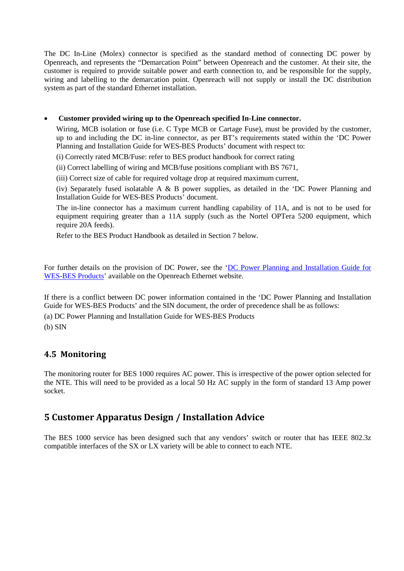The DC In-Line (Molex) connector is specified as the standard method of connecting DC power by Openreach, and represents the "Demarcation Point" between Openreach and the customer. At their site, the customer is required to provide suitable power and earth connection to, and be responsible for the supply, wiring and labelling to the demarcation point. Openreach will not supply or install the DC distribution system as part of the standard Ethernet installation.

#### • **Customer provided wiring up to the Openreach specified In-Line connector.**

Wiring, MCB isolation or fuse (i.e. C Type MCB or Cartage Fuse), must be provided by the customer, up to and including the DC in-line connector, as per BT's requirements stated within the 'DC Power Planning and Installation Guide for WES-BES Products' document with respect to:

(i) Correctly rated MCB/Fuse: refer to BES product handbook for correct rating

(ii) Correct labelling of wiring and MCB/fuse positions compliant with BS 7671,

(iii) Correct size of cable for required voltage drop at required maximum current,

(iv) Separately fused isolatable A & B power supplies, as detailed in the 'DC Power Planning and Installation Guide for WES-BES Products' document.

The in-line connector has a maximum current handling capability of 11A, and is not to be used for equipment requiring greater than a 11A supply (such as the Nortel OPTera 5200 equipment, which require 20A feeds).

Refer to the BES Product Handbook as detailed in Section 7 below.

For further details on the provision of DC Power, see the 'DC Power Planning and Installation Guide for [WES-BES Products'](https://www.openreach.co.uk/orpg/home/newlogin.do?smauthreason=0&target=http%3A%2F%2Fwww.openreach.co.uk%2Forpg%2Fcustomerzone%2Fproducts%2Fethernetservices%2Fethernetaccessdirect%2Fdescription%2Fsupplementaryinformation%2Fsupplementaryinfo.do&fromMasterHead=1) available on the Openreach Ethernet website.

If there is a conflict between DC power information contained in the 'DC Power Planning and Installation Guide for WES-BES Products' and the SIN document, the order of precedence shall be as follows:

(a) DC Power Planning and Installation Guide for WES-BES Products

(b) SIN

#### <span id="page-6-0"></span>**4.5 Monitoring**

The monitoring router for BES 1000 requires AC power. This is irrespective of the power option selected for the NTE. This will need to be provided as a local 50 Hz AC supply in the form of standard 13 Amp power socket.

## <span id="page-6-1"></span>**5 Customer Apparatus Design / Installation Advice**

The BES 1000 service has been designed such that any vendors' switch or router that has IEEE 802.3z compatible interfaces of the SX or LX variety will be able to connect to each NTE.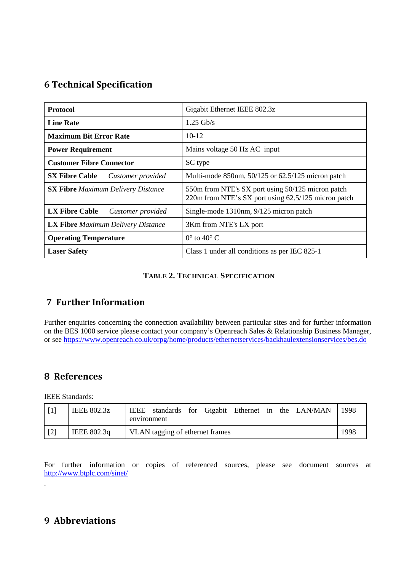## <span id="page-7-0"></span>**6 Technical Specification**

| Protocol                                   | Gigabit Ethernet IEEE 802.3z                                                                             |
|--------------------------------------------|----------------------------------------------------------------------------------------------------------|
| <b>Line Rate</b>                           | $1.25$ Gb/s                                                                                              |
| <b>Maximum Bit Error Rate</b>              | $10-12$                                                                                                  |
| <b>Power Requirement</b>                   | Mains voltage 50 Hz AC input                                                                             |
| <b>Customer Fibre Connector</b>            | SC type                                                                                                  |
| <b>SX Fibre Cable</b><br>Customer provided | Multi-mode 850nm, 50/125 or 62.5/125 micron patch                                                        |
| <b>SX Fibre</b> Maximum Delivery Distance  | 550m from NTE's SX port using 50/125 micron patch<br>220m from NTE's SX port using 62.5/125 micron patch |
| <b>LX Fibre Cable</b><br>Customer provided | Single-mode 1310nm, 9/125 micron patch                                                                   |
| <b>LX Fibre</b> Maximum Delivery Distance  | 3Km from NTE's LX port                                                                                   |
| <b>Operating Temperature</b>               | $0^{\circ}$ to $40^{\circ}$ C                                                                            |
| <b>Laser Safety</b>                        | Class 1 under all conditions as per IEC 825-1                                                            |

#### **TABLE 2. TECHNICAL SPECIFICATION**

## <span id="page-7-4"></span><span id="page-7-1"></span>**7 Further Information**

Further enquiries concerning the connection availability between particular sites and for further information on the BES 1000 service please contact your company's Openreach Sales & Relationship Business Manager, or se[e https://www.openreach.co.uk/orpg/home/products/ethernetservices/backhaulextensionservices/bes.do](https://www.openreach.co.uk/orpg/home/products/ethernetservices/backhaulextensionservices/bes.do)

## <span id="page-7-2"></span>**8 References**

IEEE Standards:

.

|     | <b>IEEE 802.3z</b> | the LAN/MAN<br><b>IEEE</b><br>Gigabit Ethernet in<br>standards<br>for<br>environment | 1998 |
|-----|--------------------|--------------------------------------------------------------------------------------|------|
| [2] | IEEE 802.3q        | VLAN tagging of ethernet frames                                                      | 1998 |

For further information or copies of referenced sources, please see document sources at <http://www.btplc.com/sinet/>

## <span id="page-7-3"></span>**9 Abbreviations**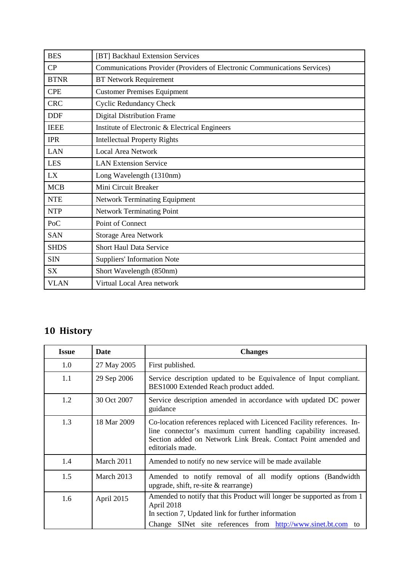| <b>BES</b>  | [BT] Backhaul Extension Services                                          |
|-------------|---------------------------------------------------------------------------|
| CP          | Communications Provider (Providers of Electronic Communications Services) |
| <b>BTNR</b> | <b>BT Network Requirement</b>                                             |
| <b>CPE</b>  | <b>Customer Premises Equipment</b>                                        |
| <b>CRC</b>  | <b>Cyclic Redundancy Check</b>                                            |
| <b>DDF</b>  | <b>Digital Distribution Frame</b>                                         |
| <b>IEEE</b> | Institute of Electronic & Electrical Engineers                            |
| <b>IPR</b>  | <b>Intellectual Property Rights</b>                                       |
| <b>LAN</b>  | <b>Local Area Network</b>                                                 |
| <b>LES</b>  | <b>LAN Extension Service</b>                                              |
| LX          | Long Wavelength (1310nm)                                                  |
| <b>MCB</b>  | Mini Circuit Breaker                                                      |
| <b>NTE</b>  | <b>Network Terminating Equipment</b>                                      |
| <b>NTP</b>  | <b>Network Terminating Point</b>                                          |
| PoC         | Point of Connect                                                          |
| <b>SAN</b>  | <b>Storage Area Network</b>                                               |
| <b>SHDS</b> | <b>Short Haul Data Service</b>                                            |
| <b>SIN</b>  | <b>Suppliers' Information Note</b>                                        |
| <b>SX</b>   | Short Wavelength (850nm)                                                  |
| <b>VLAN</b> | Virtual Local Area network                                                |

## <span id="page-8-0"></span>**10 History**

| <b>Issue</b> | Date        | <b>Changes</b>                                                                                                                                                                                                                  |
|--------------|-------------|---------------------------------------------------------------------------------------------------------------------------------------------------------------------------------------------------------------------------------|
| 1.0          | 27 May 2005 | First published.                                                                                                                                                                                                                |
| $1.1\,$      | 29 Sep 2006 | Service description updated to be Equivalence of Input compliant.<br>BES1000 Extended Reach product added.                                                                                                                      |
| 1.2          | 30 Oct 2007 | Service description amended in accordance with updated DC power<br>guidance                                                                                                                                                     |
| 1.3          | 18 Mar 2009 | Co-location references replaced with Licenced Facility references. In-<br>line connector's maximum current handling capability increased.<br>Section added on Network Link Break. Contact Point amended and<br>editorials made. |
| 1.4          | March 2011  | Amended to notify no new service will be made available                                                                                                                                                                         |
| 1.5          | March 2013  | Amended to notify removal of all modify options (Bandwidth<br>upgrade, shift, re-site $\&$ rearrange)                                                                                                                           |
| 1.6          | April 2015  | Amended to notify that this Product will longer be supported as from 1<br>April 2018<br>In section 7, Updated link for further information<br>Change SINet site references from http://www.sinet.bt.com to                      |